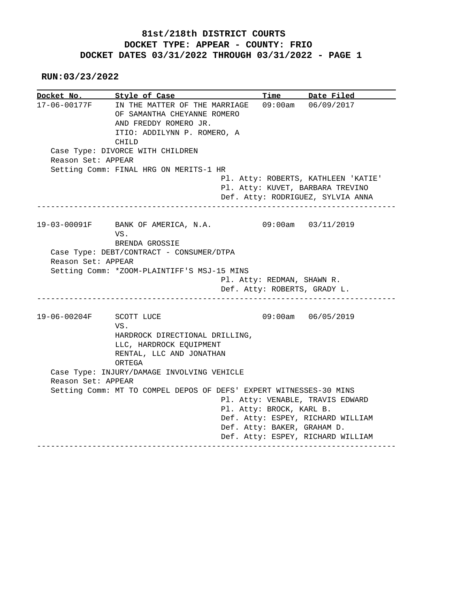**RUN:03/23/2022**

**Docket No. Style of Case Time Date Filed**  17-06-00177F IN THE MATTER OF THE MARRIAGE 09:00am 06/09/2017 OF SAMANTHA CHEYANNE ROMERO AND FREDDY ROMERO JR. ITIO: ADDILYNN P. ROMERO, A CHILD Case Type: DIVORCE WITH CHILDREN Reason Set: APPEAR Setting Comm: FINAL HRG ON MERITS-1 HR Pl. Atty: ROBERTS, KATHLEEN 'KATIE' Pl. Atty: KUVET, BARBARA TREVINO Def. Atty: RODRIGUEZ, SYLVIA ANNA ------------------------------------------------------------------------------ 19-03-00091F BANK OF AMERICA, N.A. 09:00am 03/11/2019 VS. BRENDA GROSSIE Case Type: DEBT/CONTRACT - CONSUMER/DTPA Reason Set: APPEAR Setting Comm: \*ZOOM-PLAINTIFF'S MSJ-15 MINS Pl. Atty: REDMAN, SHAWN R. Def. Atty: ROBERTS, GRADY L. ------------------------------------------------------------------------------ 19-06-00204F SCOTT LUCE 09:00am 06/05/2019 VS. HARDROCK DIRECTIONAL DRILLING, LLC, HARDROCK EQUIPMENT RENTAL, LLC AND JONATHAN ORTEGA Case Type: INJURY/DAMAGE INVOLVING VEHICLE Reason Set: APPEAR Setting Comm: MT TO COMPEL DEPOS OF DEFS' EXPERT WITNESSES-30 MINS Pl. Atty: VENABLE, TRAVIS EDWARD Pl. Atty: BROCK, KARL B. Def. Atty: ESPEY, RICHARD WILLIAM Def. Atty: BAKER, GRAHAM D. Def. Atty: ESPEY, RICHARD WILLIAM ------------------------------------------------------------------------------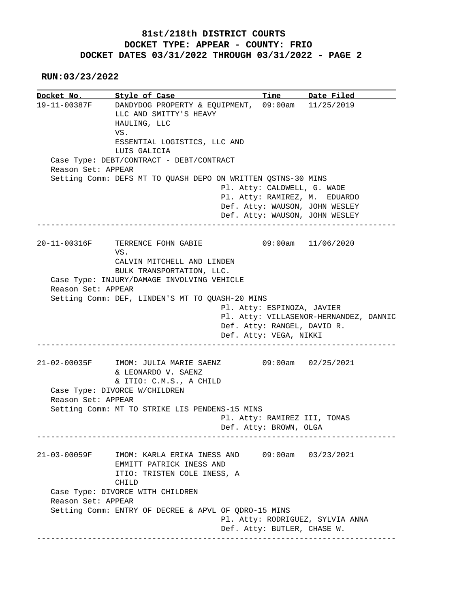**RUN:03/23/2022**

**<u>Docket No.</u> Style of Case Time Date Filed**  19-11-00387F DANDYDOG PROPERTY & EQUIPMENT, 09:00am 11/25/2019 LLC AND SMITTY'S HEAVY HAULING, LLC VS. ESSENTIAL LOGISTICS, LLC AND LUIS GALICIA Case Type: DEBT/CONTRACT - DEBT/CONTRACT Reason Set: APPEAR Setting Comm: DEFS MT TO QUASH DEPO ON WRITTEN QSTNS-30 MINS Pl. Atty: CALDWELL, G. WADE Pl. Atty: RAMIREZ, M. EDUARDO Def. Atty: WAUSON, JOHN WESLEY Def. Atty: WAUSON, JOHN WESLEY ------------------------------------------------------------------------------ 20-11-00316F TERRENCE FOHN GABIE 09:00am 11/06/2020 VS. CALVIN MITCHELL AND LINDEN BULK TRANSPORTATION, LLC. Case Type: INJURY/DAMAGE INVOLVING VEHICLE Reason Set: APPEAR Setting Comm: DEF, LINDEN'S MT TO QUASH-20 MINS Pl. Atty: ESPINOZA, JAVIER Pl. Atty: VILLASENOR-HERNANDEZ, DANNIC Def. Atty: RANGEL, DAVID R. Def. Atty: VEGA, NIKKI ------------------------------------------------------------------------------ 21-02-00035F IMOM: JULIA MARIE SAENZ 09:00am 02/25/2021 & LEONARDO V. SAENZ & ITIO: C.M.S., A CHILD Case Type: DIVORCE W/CHILDREN Reason Set: APPEAR Setting Comm: MT TO STRIKE LIS PENDENS-15 MINS Pl. Atty: RAMIREZ III, TOMAS Def. Atty: BROWN, OLGA ------------------------------------------------------------------------------ 21-03-00059F IMOM: KARLA ERIKA INESS AND 09:00am 03/23/2021 EMMITT PATRICK INESS AND ITIO: TRISTEN COLE INESS, A CHILD Case Type: DIVORCE WITH CHILDREN Reason Set: APPEAR Setting Comm: ENTRY OF DECREE & APVL OF QDRO-15 MINS Pl. Atty: RODRIGUEZ, SYLVIA ANNA Def. Atty: BUTLER, CHASE W. ------------------------------------------------------------------------------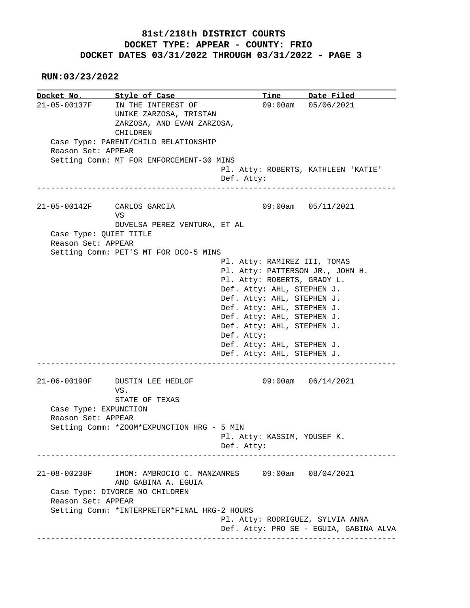**RUN:03/23/2022**

**Docket No.** Style of Case Time Date Filed 21-05-00137F IN THE INTEREST OF 09:00am 05/06/2021 UNIKE ZARZOSA, TRISTAN ZARZOSA, AND EVAN ZARZOSA, CHILDREN Case Type: PARENT/CHILD RELATIONSHIP Reason Set: APPEAR Setting Comm: MT FOR ENFORCEMENT-30 MINS Pl. Atty: ROBERTS, KATHLEEN 'KATIE' Def. Atty: ------------------------------------------------------------------------------ 21-05-00142F CARLOS GARCIA 09:00am 05/11/2021 **VS** The Second Second Second Second Second Second Second Second Second Second Second Second Second Second Second Second Second Second Second Second Second Second Second Second Second Second Second Second Second Second Sec DUVELSA PEREZ VENTURA, ET AL Case Type: QUIET TITLE Reason Set: APPEAR Setting Comm: PET'S MT FOR DCO-5 MINS Pl. Atty: RAMIREZ III, TOMAS Pl. Atty: PATTERSON JR., JOHN H. Pl. Atty: ROBERTS, GRADY L. Def. Atty: AHL, STEPHEN J. Def. Atty: AHL, STEPHEN J. Def. Atty: AHL, STEPHEN J. Def. Atty: AHL, STEPHEN J. Def. Atty: AHL, STEPHEN J. Def. Atty: Def. Atty: AHL, STEPHEN J. Def. Atty: AHL, STEPHEN J. ------------------------------------------------------------------------------ 21-06-00190F DUSTIN LEE HEDLOF 09:00am 06/14/2021 VS. STATE OF TEXAS Case Type: EXPUNCTION Reason Set: APPEAR Setting Comm: \*ZOOM\*EXPUNCTION HRG - 5 MIN Pl. Atty: KASSIM, YOUSEF K. Def. Atty: ------------------------------------------------------------------------------ 21-08-00238F IMOM: AMBROCIO C. MANZANRES 09:00am 08/04/2021 AND GABINA A. EGUIA Case Type: DIVORCE NO CHILDREN Reason Set: APPEAR Setting Comm: \*INTERPRETER\*FINAL HRG-2 HOURS Pl. Atty: RODRIGUEZ, SYLVIA ANNA Def. Atty: PRO SE - EGUIA, GABINA ALVA ------------------------------------------------------------------------------